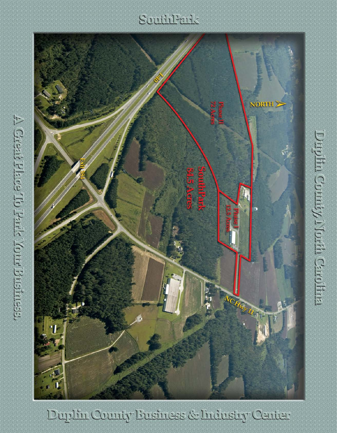## Southleads



Duplin County Eusiness & Industry Center